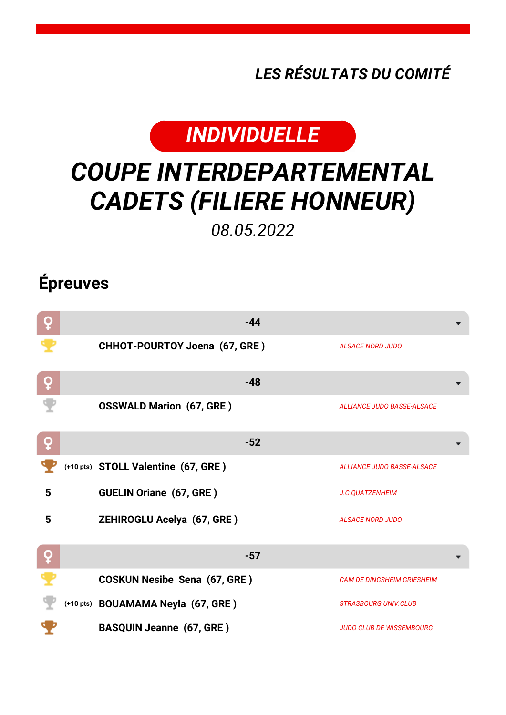*LES RÉSULTATS DU COMITÉ*



## *COUPE INTERDEPARTEMENTAL CADETS (FILIERE HONNEUR)*

*08.05.2022*

## **Épreuves**

| ò | $-44$                               |                                   |
|---|-------------------------------------|-----------------------------------|
|   | CHHOT-POURTOY Joena (67, GRE)       | <b>ALSACE NORD JUDO</b>           |
| ç | $-48$                               |                                   |
|   | <b>OSSWALD Marion (67, GRE)</b>     | <b>ALLIANCE JUDO BASSE-ALSACE</b> |
| Q | $-52$                               |                                   |
|   | (+10 pts) STOLL Valentine (67, GRE) | <b>ALLIANCE JUDO BASSE-ALSACE</b> |
| 5 | <b>GUELIN Oriane (67, GRE)</b>      | J.C.QUATZENHEIM                   |
| 5 | <b>ZEHIROGLU Acelya (67, GRE)</b>   | <b>ALSACE NORD JUDO</b>           |
| ò | $-57$                               |                                   |
|   | <b>COSKUN Nesibe Sena (67, GRE)</b> | <b>CAM DE DINGSHEIM GRIESHEIM</b> |
|   | (+10 pts) BOUAMAMA Neyla (67, GRE)  | <b>STRASBOURG UNIV.CLUB</b>       |
|   | <b>BASQUIN Jeanne (67, GRE)</b>     | <b>JUDO CLUB DE WISSEMBOURG</b>   |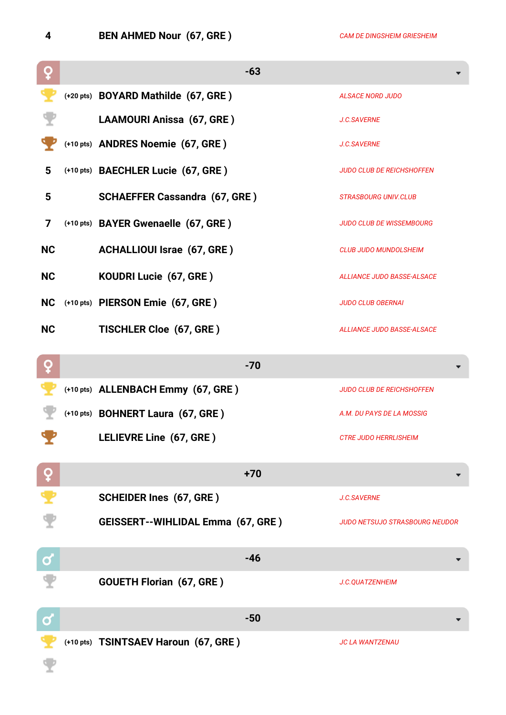**4 BEN AHMED Nour (67, GRE )** *CAM DE DINGSHEIM GRIESHEIM*

| Q            | $-63$                                    |                                       |
|--------------|------------------------------------------|---------------------------------------|
|              | (+20 pts) BOYARD Mathilde (67, GRE)      | <b>ALSACE NORD JUDO</b>               |
|              | LAAMOURI Anissa (67, GRE)                | <b>J.C.SAVERNE</b>                    |
|              | (+10 pts) ANDRES Noemie (67, GRE)        | <b>J.C.SAVERNE</b>                    |
| 5            | (+10 pts) BAECHLER Lucie (67, GRE)       | <b>JUDO CLUB DE REICHSHOFFEN</b>      |
| 5            | <b>SCHAEFFER Cassandra (67, GRE)</b>     | <b>STRASBOURG UNIV.CLUB</b>           |
| 7            | (+10 pts) BAYER Gwenaelle (67, GRE)      | <b>JUDO CLUB DE WISSEMBOURG</b>       |
| <b>NC</b>    | <b>ACHALLIOUI Israe (67, GRE)</b>        | <b>CLUB JUDO MUNDOLSHEIM</b>          |
| <b>NC</b>    | KOUDRI Lucie (67, GRE)                   | <b>ALLIANCE JUDO BASSE-ALSACE</b>     |
| <b>NC</b>    | (+10 pts) PIERSON Emie (67, GRE)         | <b>JUDO CLUB OBERNAI</b>              |
| <b>NC</b>    | <b>TISCHLER Cloe (67, GRE)</b>           | <b>ALLIANCE JUDO BASSE-ALSACE</b>     |
| ò            | $-70$                                    |                                       |
|              | (+10 pts) ALLENBACH Emmy (67, GRE)       | <b>JUDO CLUB DE REICHSHOFFEN</b>      |
|              | (+10 pts) BOHNERT Laura (67, GRE)        | A.M. DU PAYS DE LA MOSSIG             |
|              | LELIEVRE Line (67, GRE)                  | <b>CTRE JUDO HERRLISHEIM</b>          |
| $\mathbf{Q}$ | $+70$                                    |                                       |
|              | <b>SCHEIDER Ines (67, GRE)</b>           | <b>J.C.SAVERNE</b>                    |
|              | <b>GEISSERT--WIHLIDAL Emma (67, GRE)</b> | <b>JUDO NETSUJO STRASBOURG NEUDOR</b> |
| $\mathbf 0$  | $-46$                                    |                                       |
|              | <b>GOUETH Florian (67, GRE)</b>          | J.C.QUATZENHEIM                       |
| Ø            | $-50$                                    |                                       |
|              | (+10 pts) TSINTSAEV Haroun (67, GRE)     | <b>JC LA WANTZENAU</b>                |
|              |                                          |                                       |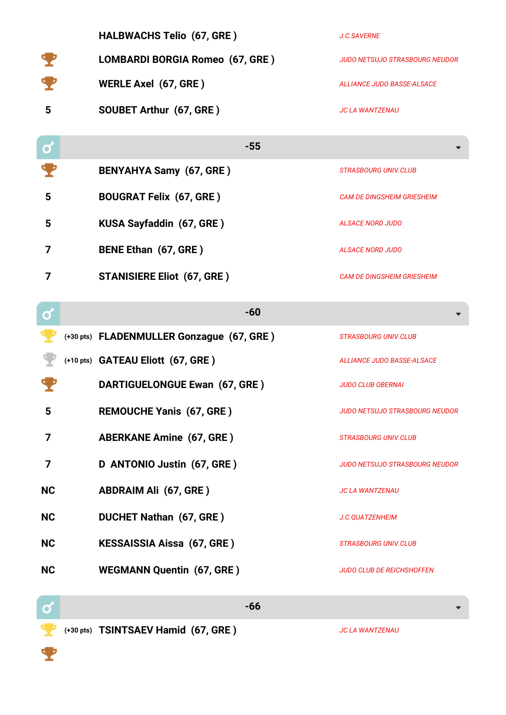|           | HALBWACHS Telio (67, GRE)                 | J.C.SAVERNE                           |
|-----------|-------------------------------------------|---------------------------------------|
|           | LOMBARDI BORGIA Romeo (67, GRE)           | <b>JUDO NETSUJO STRASBOURG NEUDOR</b> |
|           | <b>WERLE Axel (67, GRE)</b>               | <b>ALLIANCE JUDO BASSE-ALSACE</b>     |
| 5         | SOUBET Arthur (67, GRE)                   | <b>JC LA WANTZENAU</b>                |
| σ         | $-55$                                     |                                       |
|           | <b>BENYAHYA Samy (67, GRE)</b>            | <b>STRASBOURG UNIV.CLUB</b>           |
| 5         | <b>BOUGRAT Felix (67, GRE)</b>            | <b>CAM DE DINGSHEIM GRIESHEIM</b>     |
| 5         | KUSA Sayfaddin (67, GRE)                  | <b>ALSACE NORD JUDO</b>               |
| 7         | <b>BENE Ethan (67, GRE)</b>               | <b>ALSACE NORD JUDO</b>               |
| 7         | <b>STANISIERE Eliot (67, GRE)</b>         | <b>CAM DE DINGSHEIM GRIESHEIM</b>     |
| σ         | $-60$                                     |                                       |
|           | (+30 pts) FLADENMULLER Gonzague (67, GRE) | <b>STRASBOURG UNIV.CLUB</b>           |
|           | (+10 pts) GATEAU Eliott (67, GRE)         | <b>ALLIANCE JUDO BASSE-ALSACE</b>     |
|           | DARTIGUELONGUE Ewan (67, GRE)             | <b>JUDO CLUB OBERNAI</b>              |
| 5         | <b>REMOUCHE Yanis (67, GRE)</b>           | JUDO NETSUJO STRASBOURG NEUDOR        |
| 7         | <b>ABERKANE Amine (67, GRE)</b>           | <b>STRASBOURG UNIV.CLUB</b>           |
| 7         | D ANTONIO Justin (67, GRE)                | JUDO NETSUJO STRASBOURG NEUDOR        |
| <b>NC</b> | <b>ABDRAIM Ali (67, GRE)</b>              | <b>JC LA WANTZENAU</b>                |
|           |                                           |                                       |
| <b>NC</b> | <b>DUCHET Nathan (67, GRE)</b>            | J.C.QUATZENHEIM                       |
| <b>NC</b> | <b>KESSAISSIA Aissa (67, GRE)</b>         | <b>STRASBOURG UNIV.CLUB</b>           |
| <b>NC</b> | <b>WEGMANN Quentin (67, GRE)</b>          | <b>JUDO CLUB DE REICHSHOFFEN</b>      |

**(+30 pts) TSINTSAEV Hamid (67, GRE )** *JC LA WANTZENAU*

т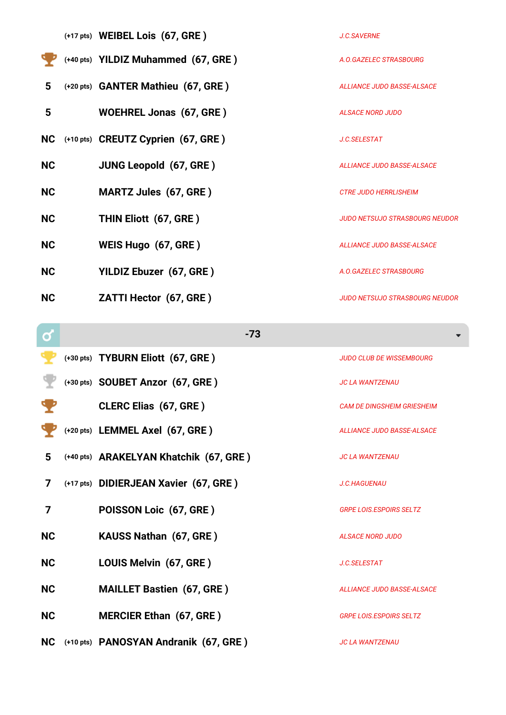|           | (+17 pts) WEIBEL Lois (67, GRE)     | <b>J.C.SAVERNE</b>                    |
|-----------|-------------------------------------|---------------------------------------|
|           | (+40 pts) YILDIZ Muhammed (67, GRE) | A.O.GAZELEC STRASBOURG                |
| 5         | (+20 pts) GANTER Mathieu (67, GRE)  | <b>ALLIANCE JUDO BASSE-ALSACE</b>     |
| 5         | <b>WOEHREL Jonas (67, GRE)</b>      | <b>ALSACE NORD JUDO</b>               |
| <b>NC</b> | (+10 pts) CREUTZ Cyprien (67, GRE)  | <b>J.C.SELESTAT</b>                   |
| <b>NC</b> | <b>JUNG Leopold (67, GRE)</b>       | <b>ALLIANCE JUDO BASSE-ALSACE</b>     |
| <b>NC</b> | <b>MARTZ Jules (67, GRE)</b>        | <b>CTRE JUDO HERRLISHEIM</b>          |
| <b>NC</b> | THIN Eliott (67, GRE)               | JUDO NETSUJO STRASBOURG NEUDOR        |
| <b>NC</b> | WEIS Hugo (67, GRE)                 | <b>ALLIANCE JUDO BASSE-ALSACE</b>     |
| <b>NC</b> | YILDIZ Ebuzer (67, GRE)             | A.O.GAZELEC STRASBOURG                |
| <b>NC</b> | <b>ZATTI Hector (67, GRE)</b>       | <b>JUDO NETSUJO STRASBOURG NEUDOR</b> |
|           |                                     |                                       |

| σ              | $-73$                                  |                                   |
|----------------|----------------------------------------|-----------------------------------|
|                | (+30 pts) TYBURN Eliott (67, GRE)      | <b>JUDO CLUB DE WISSEMBOURG</b>   |
|                | (+30 pts) SOUBET Anzor (67, GRE)       | <b>JC LA WANTZENAU</b>            |
|                | <b>CLERC Elias (67, GRE)</b>           | <b>CAM DE DINGSHEIM GRIESHEIM</b> |
|                | (+20 pts) LEMMEL Axel (67, GRE)        | ALLIANCE JUDO BASSE-ALSACE        |
| 5              | (+40 pts) ARAKELYAN Khatchik (67, GRE) | <b>JC LA WANTZENAU</b>            |
| $\overline{7}$ | (+17 pts) DIDIERJEAN Xavier (67, GRE)  | J.C.HAGUENAU                      |
| 7              | POISSON Loic (67, GRE)                 | <b>GRPE LOIS.ESPOIRS SELTZ</b>    |
| <b>NC</b>      | <b>KAUSS Nathan (67, GRE)</b>          | <b>ALSACE NORD JUDO</b>           |
| <b>NC</b>      | LOUIS Melvin (67, GRE)                 | J.C.SELESTAT                      |
| <b>NC</b>      | <b>MAILLET Bastien (67, GRE)</b>       | ALLIANCE JUDO BASSE-ALSACE        |
| <b>NC</b>      | <b>MERCIER Ethan (67, GRE)</b>         | <b>GRPE LOIS.ESPOIRS SELTZ</b>    |
| <b>NC</b>      | (+10 pts) PANOSYAN Andranik (67, GRE)  | <b>JC LA WANTZENAU</b>            |